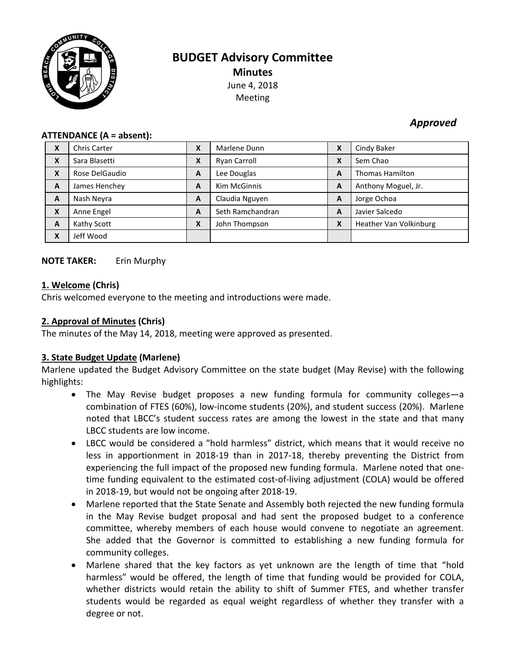

# **BUDGET Advisory Committee Minutes** June 4, 2018 Meeting

# *Approved*

#### **ATTENDANCE (A = absent):**

| X            | <b>Chris Carter</b> | X                | Marlene Dunn     | X | Cindy Baker                   |
|--------------|---------------------|------------------|------------------|---|-------------------------------|
| X            | Sara Blasetti       | $\mathbf v$<br>Λ | Ryan Carroll     | X | Sem Chao                      |
| X            | Rose DelGaudio      | A                | Lee Douglas      | A | <b>Thomas Hamilton</b>        |
| $\mathbf{A}$ | James Henchey       | A                | Kim McGinnis     | A | Anthony Moguel, Jr.           |
| A            | Nash Neyra          | A                | Claudia Nguyen   | A | Jorge Ochoa                   |
| X            | Anne Engel          | A                | Seth Ramchandran | A | Javier Salcedo                |
| $\mathbf{A}$ | Kathy Scott         | X                | John Thompson    | X | <b>Heather Van Volkinburg</b> |
| X            | Jeff Wood           |                  |                  |   |                               |

# **NOTE TAKER:** Erin Murphy

#### **1. Welcome (Chris)**

Chris welcomed everyone to the meeting and introductions were made.

#### **2. Approval of Minutes (Chris)**

The minutes of the May 14, 2018, meeting were approved as presented.

# **3. State Budget Update (Marlene)**

Marlene updated the Budget Advisory Committee on the state budget (May Revise) with the following highlights:

- The May Revise budget proposes a new funding formula for community colleges—a combination of FTES (60%), low-income students (20%), and student success (20%). Marlene noted that LBCC's student success rates are among the lowest in the state and that many LBCC students are low income.
- LBCC would be considered a "hold harmless" district, which means that it would receive no less in apportionment in 2018-19 than in 2017-18, thereby preventing the District from experiencing the full impact of the proposed new funding formula. Marlene noted that onetime funding equivalent to the estimated cost-of-living adjustment (COLA) would be offered in 2018-19, but would not be ongoing after 2018-19.
- Marlene reported that the State Senate and Assembly both rejected the new funding formula in the May Revise budget proposal and had sent the proposed budget to a conference committee, whereby members of each house would convene to negotiate an agreement. She added that the Governor is committed to establishing a new funding formula for community colleges.
- Marlene shared that the key factors as yet unknown are the length of time that "hold harmless" would be offered, the length of time that funding would be provided for COLA, whether districts would retain the ability to shift of Summer FTES, and whether transfer students would be regarded as equal weight regardless of whether they transfer with a degree or not.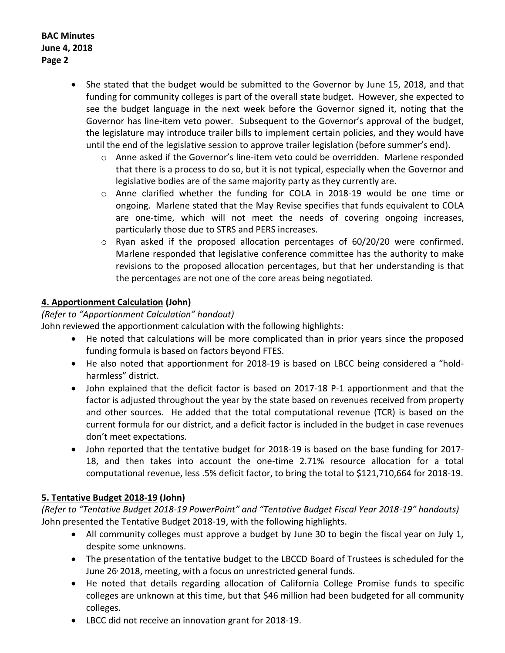### **BAC Minutes June 4, 2018 Page 2**

- She stated that the budget would be submitted to the Governor by June 15, 2018, and that funding for community colleges is part of the overall state budget. However, she expected to see the budget language in the next week before the Governor signed it, noting that the Governor has line-item veto power. Subsequent to the Governor's approval of the budget, the legislature may introduce trailer bills to implement certain policies, and they would have until the end of the legislative session to approve trailer legislation (before summer's end).
	- $\circ$  Anne asked if the Governor's line-item veto could be overridden. Marlene responded that there is a process to do so, but it is not typical, especially when the Governor and legislative bodies are of the same majority party as they currently are.
	- o Anne clarified whether the funding for COLA in 2018-19 would be one time or ongoing. Marlene stated that the May Revise specifies that funds equivalent to COLA are one-time, which will not meet the needs of covering ongoing increases, particularly those due to STRS and PERS increases.
	- $\circ$  Ryan asked if the proposed allocation percentages of 60/20/20 were confirmed. Marlene responded that legislative conference committee has the authority to make revisions to the proposed allocation percentages, but that her understanding is that the percentages are not one of the core areas being negotiated.

### **4. Apportionment Calculation (John)**

### *(Refer to "Apportionment Calculation" handout)*

John reviewed the apportionment calculation with the following highlights:

- He noted that calculations will be more complicated than in prior years since the proposed funding formula is based on factors beyond FTES.
- He also noted that apportionment for 2018-19 is based on LBCC being considered a "holdharmless" district.
- John explained that the deficit factor is based on 2017-18 P-1 apportionment and that the factor is adjusted throughout the year by the state based on revenues received from property and other sources. He added that the total computational revenue (TCR) is based on the current formula for our district, and a deficit factor is included in the budget in case revenues don't meet expectations.
- John reported that the tentative budget for 2018-19 is based on the base funding for 2017- 18, and then takes into account the one-time 2.71% resource allocation for a total computational revenue, less .5% deficit factor, to bring the total to \$121,710,664 for 2018-19.

#### **5. Tentative Budget 2018-19 (John)**

*(Refer to "Tentative Budget 2018-19 PowerPoint" and "Tentative Budget Fiscal Year 2018-19" handouts)* John presented the Tentative Budget 2018-19, with the following highlights.

- All community colleges must approve a budget by June 30 to begin the fiscal year on July 1, despite some unknowns.
- The presentation of the tentative budget to the LBCCD Board of Trustees is scheduled for the June 26, 2018, meeting, with a focus on unrestricted general funds.
- He noted that details regarding allocation of California College Promise funds to specific colleges are unknown at this time, but that \$46 million had been budgeted for all community colleges.
- LBCC did not receive an innovation grant for 2018-19.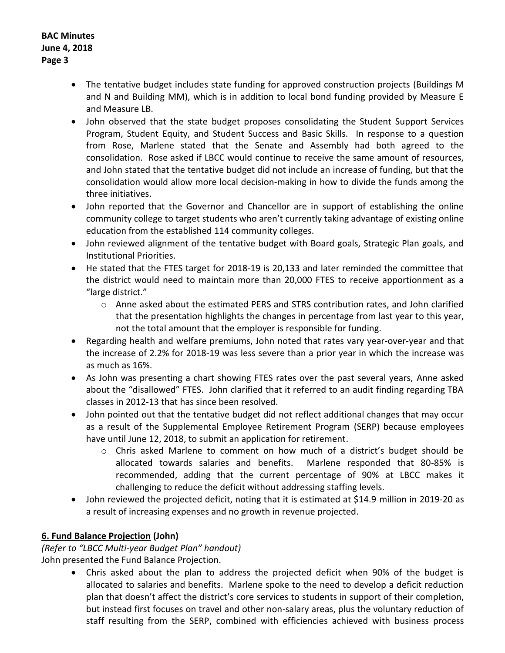- The tentative budget includes state funding for approved construction projects (Buildings M and N and Building MM), which is in addition to local bond funding provided by Measure E and Measure LB.
- John observed that the state budget proposes consolidating the Student Support Services Program, Student Equity, and Student Success and Basic Skills. In response to a question from Rose, Marlene stated that the Senate and Assembly had both agreed to the consolidation. Rose asked if LBCC would continue to receive the same amount of resources, and John stated that the tentative budget did not include an increase of funding, but that the consolidation would allow more local decision-making in how to divide the funds among the three initiatives.
- John reported that the Governor and Chancellor are in support of establishing the online community college to target students who aren't currently taking advantage of existing online education from the established 114 community colleges.
- John reviewed alignment of the tentative budget with Board goals, Strategic Plan goals, and Institutional Priorities.
- He stated that the FTES target for 2018-19 is 20,133 and later reminded the committee that the district would need to maintain more than 20,000 FTES to receive apportionment as a "large district."
	- o Anne asked about the estimated PERS and STRS contribution rates, and John clarified that the presentation highlights the changes in percentage from last year to this year, not the total amount that the employer is responsible for funding.
- Regarding health and welfare premiums, John noted that rates vary year-over-year and that the increase of 2.2% for 2018-19 was less severe than a prior year in which the increase was as much as 16%.
- As John was presenting a chart showing FTES rates over the past several years, Anne asked about the "disallowed" FTES. John clarified that it referred to an audit finding regarding TBA classes in 2012-13 that has since been resolved.
- John pointed out that the tentative budget did not reflect additional changes that may occur as a result of the Supplemental Employee Retirement Program (SERP) because employees have until June 12, 2018, to submit an application for retirement.
	- o Chris asked Marlene to comment on how much of a district's budget should be allocated towards salaries and benefits. Marlene responded that 80-85% is recommended, adding that the current percentage of 90% at LBCC makes it challenging to reduce the deficit without addressing staffing levels.
- John reviewed the projected deficit, noting that it is estimated at \$14.9 million in 2019-20 as a result of increasing expenses and no growth in revenue projected.

# **6. Fund Balance Projection (John)**

*(Refer to "LBCC Multi-year Budget Plan" handout)* John presented the Fund Balance Projection.

> Chris asked about the plan to address the projected deficit when 90% of the budget is allocated to salaries and benefits. Marlene spoke to the need to develop a deficit reduction plan that doesn't affect the district's core services to students in support of their completion, but instead first focuses on travel and other non-salary areas, plus the voluntary reduction of staff resulting from the SERP, combined with efficiencies achieved with business process